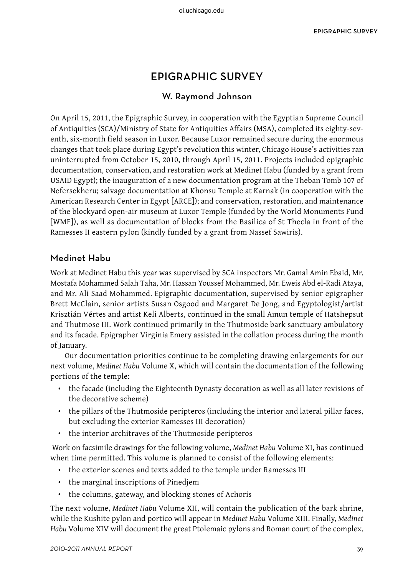# EPIGRAPHIC SURVEY

# W. Raymond Johnson

On April 15, 2011, the Epigraphic Survey, in cooperation with the Egyptian Supreme Council of Antiquities (SCA)/Ministry of State for Antiquities Affairs (MSA), completed its eighty-seventh, six-month field season in Luxor. Because Luxor remained secure during the enormous changes that took place during Egypt's revolution this winter, Chicago House's activities ran uninterrupted from October 15, 2010, through April 15, 2011. Projects included epigraphic documentation, conservation, and restoration work at Medinet Habu (funded by a grant from USAID Egypt); the inauguration of a new documentation program at the Theban Tomb 107 of Nefersekheru; salvage documentation at Khonsu Temple at Karnak (in cooperation with the American Research Center in Egypt [ARCE]); and conservation, restoration, and maintenance of the blockyard open-air museum at Luxor Temple (funded by the World Monuments Fund [WMF]), as well as documentation of blocks from the Basilica of St Thecla in front of the Ramesses II eastern pylon (kindly funded by a grant from Nassef Sawiris).

# Medinet Habu

Work at Medinet Habu this year was supervised by SCA inspectors Mr. Gamal Amin Ebaid, Mr. Mostafa Mohammed Salah Taha, Mr. Hassan Youssef Mohammed, Mr. Eweis Abd el-Radi Ataya, and Mr. Ali Saad Mohammed. Epigraphic documentation, supervised by senior epigrapher Brett McClain, senior artists Susan Osgood and Margaret De Jong, and Egyptologist/artist Krisztián Vértes and artist Keli Alberts, continued in the small Amun temple of Hatshepsut and Thutmose III. Work continued primarily in the Thutmoside bark sanctuary ambulatory and its facade. Epigrapher Virginia Emery assisted in the collation process during the month of January.

Our documentation priorities continue to be completing drawing enlargements for our next volume, *Medinet Habu* Volume X, which will contain the documentation of the following portions of the temple:

- the facade (including the Eighteenth Dynasty decoration as well as all later revisions of the decorative scheme)
- the pillars of the Thutmoside peripteros (including the interior and lateral pillar faces, but excluding the exterior Ramesses III decoration)
- the interior architraves of the Thutmoside peripteros

 Work on facsimile drawings for the following volume, *Medinet Habu* Volume XI, has continued when time permitted. This volume is planned to consist of the following elements:

- the exterior scenes and texts added to the temple under Ramesses III
- the marginal inscriptions of Pinedjem
- the columns, gateway, and blocking stones of Achoris

The next volume, *Medinet Habu* Volume XII, will contain the publication of the bark shrine, while the Kushite pylon and portico will appear in *Medinet Habu* Volume XIII. Finally, *Medinet Habu* Volume XIV will document the great Ptolemaic pylons and Roman court of the complex.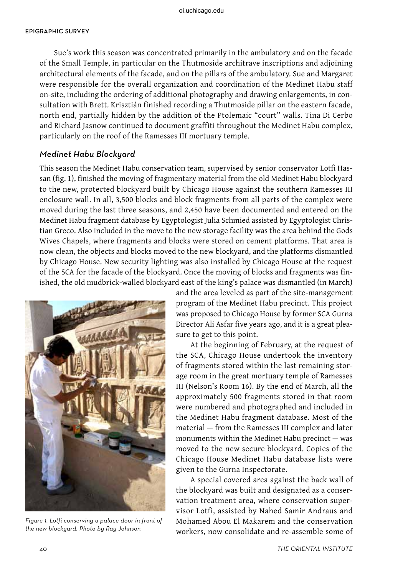Sue's work this season was concentrated primarily in the ambulatory and on the facade of the Small Temple, in particular on the Thutmoside architrave inscriptions and adjoining architectural elements of the facade, and on the pillars of the ambulatory. Sue and Margaret were responsible for the overall organization and coordination of the Medinet Habu staff on-site, including the ordering of additional photography and drawing enlargements, in consultation with Brett. Krisztián finished recording a Thutmoside pillar on the eastern facade, north end, partially hidden by the addition of the Ptolemaic "court" walls. Tina Di Cerbo and Richard Jasnow continued to document graffiti throughout the Medinet Habu complex, particularly on the roof of the Ramesses III mortuary temple.

### Medinet Habu Blockyard

This season the Medinet Habu conservation team, supervised by senior conservator Lotfi Hassan (fig. 1), finished the moving of fragmentary material from the old Medinet Habu blockyard to the new, protected blockyard built by Chicago House against the southern Ramesses III enclosure wall. In all, 3,500 blocks and block fragments from all parts of the complex were moved during the last three seasons, and 2,450 have been documented and entered on the Medinet Habu fragment database by Egyptologist Julia Schmied assisted by Egyptologist Christian Greco. Also included in the move to the new storage facility was the area behind the Gods Wives Chapels, where fragments and blocks were stored on cement platforms. That area is now clean, the objects and blocks moved to the new blockyard, and the platforms dismantled by Chicago House. New security lighting was also installed by Chicago House at the request of the SCA for the facade of the blockyard. Once the moving of blocks and fragments was finished, the old mudbrick-walled blockyard east of the king's palace was dismantled (in March)



Figure 1. Lotfi conserving a palace door in front of the new blockyard. Photo by Ray Johnson

and the area leveled as part of the site-management program of the Medinet Habu precinct. This project was proposed to Chicago House by former SCA Gurna Director Ali Asfar five years ago, and it is a great pleasure to get to this point.

At the beginning of February, at the request of the SCA, Chicago House undertook the inventory of fragments stored within the last remaining storage room in the great mortuary temple of Ramesses III (Nelson's Room 16). By the end of March, all the approximately 500 fragments stored in that room were numbered and photographed and included in the Medinet Habu fragment database. Most of the material — from the Ramesses III complex and later monuments within the Medinet Habu precinct — was moved to the new secure blockyard. Copies of the Chicago House Medinet Habu database lists were given to the Gurna Inspectorate.

A special covered area against the back wall of the blockyard was built and designated as a conservation treatment area, where conservation supervisor Lotfi, assisted by Nahed Samir Andraus and Mohamed Abou El Makarem and the conservation workers, now consolidate and re-assemble some of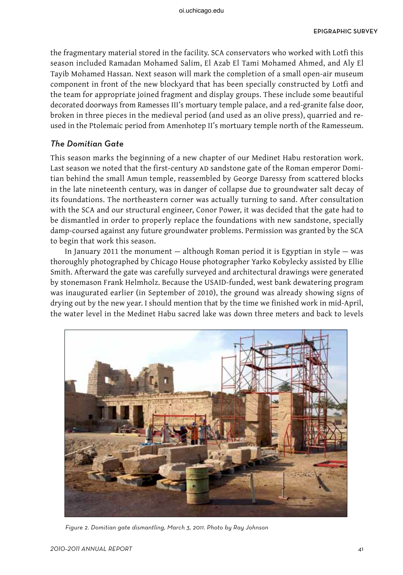the fragmentary material stored in the facility. SCA conservators who worked with Lotfi this season included Ramadan Mohamed Salim, El Azab El Tami Mohamed Ahmed, and Aly El Tayib Mohamed Hassan. Next season will mark the completion of a small open-air museum component in front of the new blockyard that has been specially constructed by Lotfi and the team for appropriate joined fragment and display groups. These include some beautiful decorated doorways from Ramesses III's mortuary temple palace, and a red-granite false door, broken in three pieces in the medieval period (and used as an olive press), quarried and reused in the Ptolemaic period from Amenhotep II's mortuary temple north of the Ramesseum.

## The Domitian Gate

This season marks the beginning of a new chapter of our Medinet Habu restoration work. Last season we noted that the first-century AD sandstone gate of the Roman emperor Domitian behind the small Amun temple, reassembled by George Daressy from scattered blocks in the late nineteenth century, was in danger of collapse due to groundwater salt decay of its foundations. The northeastern corner was actually turning to sand. After consultation with the SCA and our structural engineer, Conor Power, it was decided that the gate had to be dismantled in order to properly replace the foundations with new sandstone, specially damp-coursed against any future groundwater problems. Permission was granted by the SCA to begin that work this season.

In January 2011 the monument — although Roman period it is Egyptian in style — was thoroughly photographed by Chicago House photographer Yarko Kobylecky assisted by Ellie Smith. Afterward the gate was carefully surveyed and architectural drawings were generated by stonemason Frank Helmholz. Because the USAID-funded, west bank dewatering program was inaugurated earlier (in September of 2010), the ground was already showing signs of drying out by the new year. I should mention that by the time we finished work in mid-April, the water level in the Medinet Habu sacred lake was down three meters and back to levels



Figure 2. Domitian gate dismantling, March 3, 2011. Photo by Ray Johnson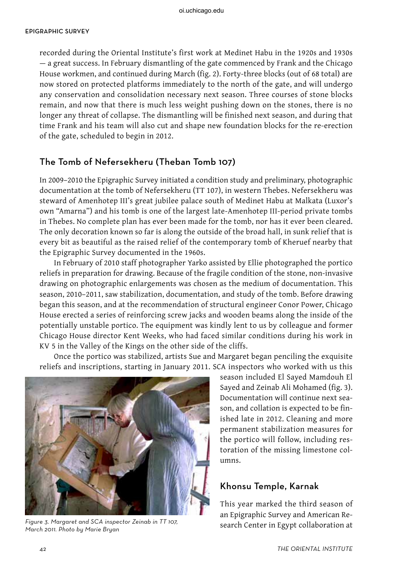recorded during the Oriental Institute's first work at Medinet Habu in the 1920s and 1930s — a great success. In February dismantling of the gate commenced by Frank and the Chicago House workmen, and continued during March (fig. 2). Forty-three blocks (out of 68 total) are now stored on protected platforms immediately to the north of the gate, and will undergo any conservation and consolidation necessary next season. Three courses of stone blocks remain, and now that there is much less weight pushing down on the stones, there is no longer any threat of collapse. The dismantling will be finished next season, and during that time Frank and his team will also cut and shape new foundation blocks for the re-erection of the gate, scheduled to begin in 2012.

# The Tomb of Nefersekheru (Theban Tomb 107)

In 2009–2010 the Epigraphic Survey initiated a condition study and preliminary, photographic documentation at the tomb of Nefersekheru (TT 107), in western Thebes. Nefersekheru was steward of Amenhotep III's great jubilee palace south of Medinet Habu at Malkata (Luxor's own "Amarna") and his tomb is one of the largest late-Amenhotep III-period private tombs in Thebes. No complete plan has ever been made for the tomb, nor has it ever been cleared. The only decoration known so far is along the outside of the broad hall, in sunk relief that is every bit as beautiful as the raised relief of the contemporary tomb of Kheruef nearby that the Epigraphic Survey documented in the 1960s.

In February of 2010 staff photographer Yarko assisted by Ellie photographed the portico reliefs in preparation for drawing. Because of the fragile condition of the stone, non-invasive drawing on photographic enlargements was chosen as the medium of documentation. This season, 2010–2011, saw stabilization, documentation, and study of the tomb. Before drawing began this season, and at the recommendation of structural engineer Conor Power, Chicago House erected a series of reinforcing screw jacks and wooden beams along the inside of the potentially unstable portico. The equipment was kindly lent to us by colleague and former Chicago House director Kent Weeks, who had faced similar conditions during his work in KV 5 in the Valley of the Kings on the other side of the cliffs.

Once the portico was stabilized, artists Sue and Margaret began penciling the exquisite reliefs and inscriptions, starting in January 2011. SCA inspectors who worked with us this



Figure 3. Margaret and SCA inspector Zeinab in TT 107,<br>Margaret 2. Margaret and SCA inspector Zeinab in TT 107,<br>Search Center in Egypt collaboration at March 2011. Photo by Marie Bryan

season included El Sayed Mamdouh El Sayed and Zeinab Ali Mohamed (fig. 3). Documentation will continue next season, and collation is expected to be finished late in 2012. Cleaning and more permanent stabilization measures for the portico will follow, including restoration of the missing limestone columns.

# Khonsu Temple, Karnak

This year marked the third season of an Epigraphic Survey and American Re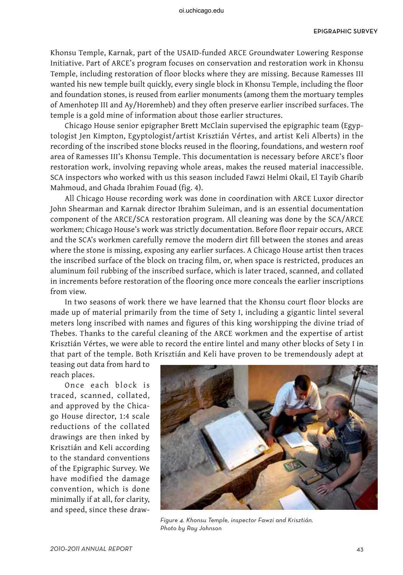Khonsu Temple, Karnak, part of the USAID-funded ARCE Groundwater Lowering Response Initiative. Part of ARCE's program focuses on conservation and restoration work in Khonsu Temple, including restoration of floor blocks where they are missing. Because Ramesses III wanted his new temple built quickly, every single block in Khonsu Temple, including the floor and foundation stones, is reused from earlier monuments (among them the mortuary temples of Amenhotep III and Ay/Horemheb) and they often preserve earlier inscribed surfaces. The temple is a gold mine of information about those earlier structures.

Chicago House senior epigrapher Brett McClain supervised the epigraphic team (Egyptologist Jen Kimpton, Egyptologist/artist Krisztián Vértes, and artist Keli Alberts) in the recording of the inscribed stone blocks reused in the flooring, foundations, and western roof area of Ramesses III's Khonsu Temple. This documentation is necessary before ARCE's floor restoration work, involving repaving whole areas, makes the reused material inaccessible. SCA inspectors who worked with us this season included Fawzi Helmi Okail, El Tayib Gharib Mahmoud, and Ghada Ibrahim Fouad (fig. 4).

All Chicago House recording work was done in coordination with ARCE Luxor director John Shearman and Karnak director Ibrahim Suleiman, and is an essential documentation component of the ARCE/SCA restoration program. All cleaning was done by the SCA/ARCE workmen; Chicago House's work was strictly documentation. Before floor repair occurs, ARCE and the SCA's workmen carefully remove the modern dirt fill between the stones and areas where the stone is missing, exposing any earlier surfaces. A Chicago House artist then traces the inscribed surface of the block on tracing film, or, when space is restricted, produces an aluminum foil rubbing of the inscribed surface, which is later traced, scanned, and collated in increments before restoration of the flooring once more conceals the earlier inscriptions from view.

In two seasons of work there we have learned that the Khonsu court floor blocks are made up of material primarily from the time of Sety I, including a gigantic lintel several meters long inscribed with names and figures of this king worshipping the divine triad of Thebes. Thanks to the careful cleaning of the ARCE workmen and the expertise of artist Krisztián Vértes, we were able to record the entire lintel and many other blocks of Sety I in that part of the temple. Both Krisztián and Keli have proven to be tremendously adept at

teasing out data from hard to reach places.

Once each block is traced, scanned, collated, and approved by the Chicago House director, 1:4 scale reductions of the collated drawings are then inked by Krisztián and Keli according to the standard conventions of the Epigraphic Survey. We have modified the damage convention, which is done minimally if at all, for clarity, and speed, since these draw-



Figure 4. Khonsu Temple, inspector Fawzi and Krisztián. Photo by Ray Johnson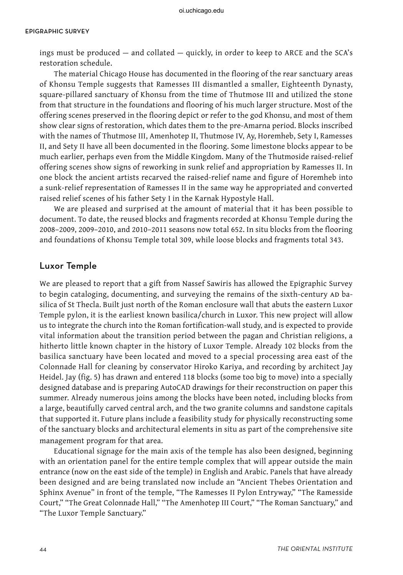ings must be produced — and collated — quickly, in order to keep to ARCE and the SCA's restoration schedule.

The material Chicago House has documented in the flooring of the rear sanctuary areas of Khonsu Temple suggests that Ramesses III dismantled a smaller, Eighteenth Dynasty, square-pillared sanctuary of Khonsu from the time of Thutmose III and utilized the stone from that structure in the foundations and flooring of his much larger structure. Most of the offering scenes preserved in the flooring depict or refer to the god Khonsu, and most of them show clear signs of restoration, which dates them to the pre-Amarna period. Blocks inscribed with the names of Thutmose III, Amenhotep II, Thutmose IV, Ay, Horemheb, Sety I, Ramesses II, and Sety II have all been documented in the flooring. Some limestone blocks appear to be much earlier, perhaps even from the Middle Kingdom. Many of the Thutmoside raised-relief offering scenes show signs of reworking in sunk relief and appropriation by Ramesses II. In one block the ancient artists recarved the raised-relief name and figure of Horemheb into a sunk-relief representation of Ramesses II in the same way he appropriated and converted raised relief scenes of his father Sety I in the Karnak Hypostyle Hall.

We are pleased and surprised at the amount of material that it has been possible to document. To date, the reused blocks and fragments recorded at Khonsu Temple during the 2008–2009, 2009–2010, and 2010–2011 seasons now total 652. In situ blocks from the flooring and foundations of Khonsu Temple total 309, while loose blocks and fragments total 343.

#### Luxor Temple

We are pleased to report that a gift from Nassef Sawiris has allowed the Epigraphic Survey to begin cataloging, documenting, and surveying the remains of the sixth-century AD basilica of St Thecla. Built just north of the Roman enclosure wall that abuts the eastern Luxor Temple pylon, it is the earliest known basilica/church in Luxor. This new project will allow us to integrate the church into the Roman fortification-wall study, and is expected to provide vital information about the transition period between the pagan and Christian religions, a hitherto little known chapter in the history of Luxor Temple. Already 102 blocks from the basilica sanctuary have been located and moved to a special processing area east of the Colonnade Hall for cleaning by conservator Hiroko Kariya, and recording by architect Jay Heidel. Jay (fig. 5) has drawn and entered 118 blocks (some too big to move) into a specially designed database and is preparing AutoCAD drawings for their reconstruction on paper this summer. Already numerous joins among the blocks have been noted, including blocks from a large, beautifully carved central arch, and the two granite columns and sandstone capitals that supported it. Future plans include a feasibility study for physically reconstructing some of the sanctuary blocks and architectural elements in situ as part of the comprehensive site management program for that area.

Educational signage for the main axis of the temple has also been designed, beginning with an orientation panel for the entire temple complex that will appear outside the main entrance (now on the east side of the temple) in English and Arabic. Panels that have already been designed and are being translated now include an "Ancient Thebes Orientation and Sphinx Avenue" in front of the temple, "The Ramesses II Pylon Entryway," "The Ramesside Court," "The Great Colonnade Hall," "The Amenhotep III Court," "The Roman Sanctuary," and "The Luxor Temple Sanctuary."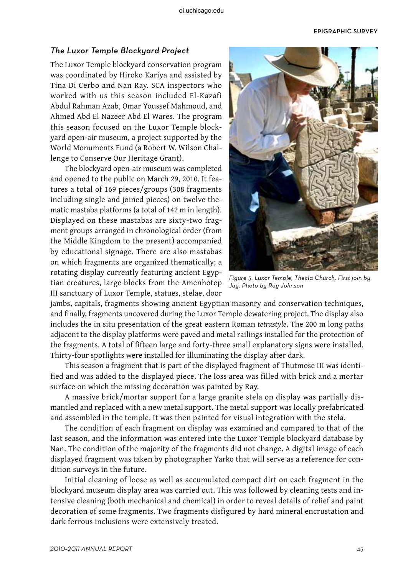### The Luxor Temple Blockyard Project

The Luxor Temple blockyard conservation program was coordinated by Hiroko Kariya and assisted by Tina Di Cerbo and Nan Ray. SCA inspectors who worked with us this season included El-Kazafi Abdul Rahman Azab, Omar Youssef Mahmoud, and Ahmed Abd El Nazeer Abd El Wares. The program this season focused on the Luxor Temple blockyard open-air museum, a project supported by the World Monuments Fund (a Robert W. Wilson Challenge to Conserve Our Heritage Grant).

The blockyard open-air museum was completed and opened to the public on March 29, 2010. It features a total of 169 pieces/groups (308 fragments including single and joined pieces) on twelve thematic mastaba platforms (a total of 142 m in length). Displayed on these mastabas are sixty-two fragment groups arranged in chronological order (from the Middle Kingdom to the present) accompanied by educational signage. There are also mastabas on which fragments are organized thematically; a rotating display currently featuring ancient Egyptian creatures, large blocks from the Amenhotep III sanctuary of Luxor Temple, statues, stelae, door



Figure 5. Luxor Temple, Thecla Church. First join by Jay. Photo by Ray Johnson

jambs, capitals, fragments showing ancient Egyptian masonry and conservation techniques, and finally, fragments uncovered during the Luxor Temple dewatering project. The display also includes the in situ presentation of the great eastern Roman *tetrastyle*. The 200 m long paths adjacent to the display platforms were paved and metal railings installed for the protection of the fragments. A total of fifteen large and forty-three small explanatory signs were installed. Thirty-four spotlights were installed for illuminating the display after dark.

This season a fragment that is part of the displayed fragment of Thutmose III was identified and was added to the displayed piece. The loss area was filled with brick and a mortar surface on which the missing decoration was painted by Ray.

A massive brick/mortar support for a large granite stela on display was partially dismantled and replaced with a new metal support. The metal support was locally prefabricated and assembled in the temple. It was then painted for visual integration with the stela.

The condition of each fragment on display was examined and compared to that of the last season, and the information was entered into the Luxor Temple blockyard database by Nan. The condition of the majority of the fragments did not change. A digital image of each displayed fragment was taken by photographer Yarko that will serve as a reference for condition surveys in the future.

Initial cleaning of loose as well as accumulated compact dirt on each fragment in the blockyard museum display area was carried out. This was followed by cleaning tests and intensive cleaning (both mechanical and chemical) in order to reveal details of relief and paint decoration of some fragments. Two fragments disfigured by hard mineral encrustation and dark ferrous inclusions were extensively treated.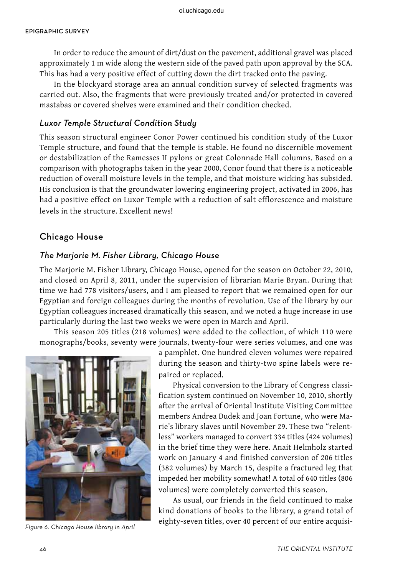#### Epigraphic survey

In order to reduce the amount of dirt/dust on the pavement, additional gravel was placed approximately 1 m wide along the western side of the paved path upon approval by the SCA. This has had a very positive effect of cutting down the dirt tracked onto the paving.

In the blockyard storage area an annual condition survey of selected fragments was carried out. Also, the fragments that were previously treated and/or protected in covered mastabas or covered shelves were examined and their condition checked.

### Luxor Temple Structural Condition Study

This season structural engineer Conor Power continued his condition study of the Luxor Temple structure, and found that the temple is stable. He found no discernible movement or destabilization of the Ramesses II pylons or great Colonnade Hall columns. Based on a comparison with photographs taken in the year 2000, Conor found that there is a noticeable reduction of overall moisture levels in the temple, and that moisture wicking has subsided. His conclusion is that the groundwater lowering engineering project, activated in 2006, has had a positive effect on Luxor Temple with a reduction of salt efflorescence and moisture levels in the structure. Excellent news!

#### Chicago House

### The Marjorie M. Fisher Library, Chicago House

The Marjorie M. Fisher Library, Chicago House, opened for the season on October 22, 2010, and closed on April 8, 2011, under the supervision of librarian Marie Bryan. During that time we had 778 visitors/users, and I am pleased to report that we remained open for our Egyptian and foreign colleagues during the months of revolution. Use of the library by our Egyptian colleagues increased dramatically this season, and we noted a huge increase in use particularly during the last two weeks we were open in March and April.

This season 205 titles (218 volumes) were added to the collection, of which 110 were monographs/books, seventy were journals, twenty-four were series volumes, and one was



a pamphlet. One hundred eleven volumes were repaired during the season and thirty-two spine labels were repaired or replaced.

Physical conversion to the Library of Congress classification system continued on November 10, 2010, shortly after the arrival of Oriental Institute Visiting Committee members Andrea Dudek and Joan Fortune, who were Marie's library slaves until November 29. These two "relentless" workers managed to convert 334 titles (424 volumes) in the brief time they were here. Anait Helmholz started work on January 4 and finished conversion of 206 titles (382 volumes) by March 15, despite a fractured leg that impeded her mobility somewhat! A total of 640 titles (806 volumes) were completely converted this season.

As usual, our friends in the field continued to make kind donations of books to the library, a grand total of eighty-seven titles, over 40 percent of our entire acquisi-<br>Figure 6. Chicago House library in April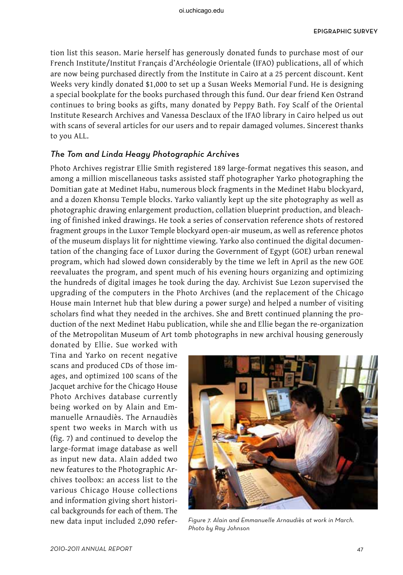tion list this season. Marie herself has generously donated funds to purchase most of our French Institute/Institut Français d'Archéologie Orientale (IFAO) publications, all of which are now being purchased directly from the Institute in Cairo at a 25 percent discount. Kent Weeks very kindly donated \$1,000 to set up a Susan Weeks Memorial Fund. He is designing a special bookplate for the books purchased through this fund. Our dear friend Ken Ostrand continues to bring books as gifts, many donated by Peppy Bath. Foy Scalf of the Oriental Institute Research Archives and Vanessa Desclaux of the IFAO library in Cairo helped us out with scans of several articles for our users and to repair damaged volumes. Sincerest thanks to you ALL.

### The Tom and Linda Heagy Photographic Archives

Photo Archives registrar Ellie Smith registered 189 large-format negatives this season, and among a million miscellaneous tasks assisted staff photographer Yarko photographing the Domitian gate at Medinet Habu, numerous block fragments in the Medinet Habu blockyard, and a dozen Khonsu Temple blocks. Yarko valiantly kept up the site photography as well as photographic drawing enlargement production, collation blueprint production, and bleaching of finished inked drawings. He took a series of conservation reference shots of restored fragment groups in the Luxor Temple blockyard open-air museum, as well as reference photos of the museum displays lit for nighttime viewing. Yarko also continued the digital documentation of the changing face of Luxor during the Government of Egypt (GOE) urban renewal program, which had slowed down considerably by the time we left in April as the new GOE reevaluates the program, and spent much of his evening hours organizing and optimizing the hundreds of digital images he took during the day. Archivist Sue Lezon supervised the upgrading of the computers in the Photo Archives (and the replacement of the Chicago House main Internet hub that blew during a power surge) and helped a number of visiting scholars find what they needed in the archives. She and Brett continued planning the production of the next Medinet Habu publication, while she and Ellie began the re-organization of the Metropolitan Museum of Art tomb photographs in new archival housing generously

donated by Ellie. Sue worked with Tina and Yarko on recent negative scans and produced CDs of those images, and optimized 100 scans of the Jacquet archive for the Chicago House Photo Archives database currently being worked on by Alain and Emmanuelle Arnaudiès. The Arnaudiès spent two weeks in March with us (fig. 7) and continued to develop the large-format image database as well as input new data. Alain added two new features to the Photographic Archives toolbox: an access list to the various Chicago House collections and information giving short historical backgrounds for each of them. The



new data input included 2,090 refer- Figure 7. Alain and Emmanuelle Arnaudiès at work in March. Photo by Ray Johnson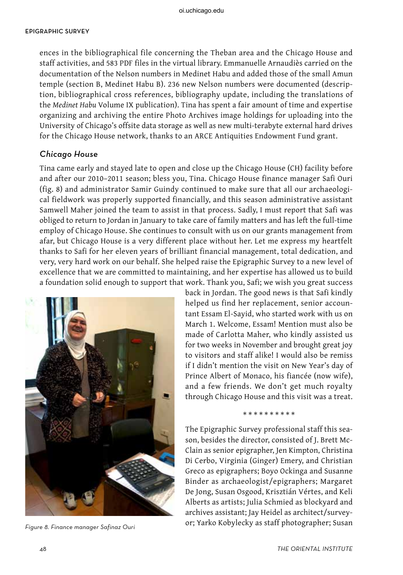ences in the bibliographical file concerning the Theban area and the Chicago House and staff activities, and 583 PDF files in the virtual library. Emmanuelle Arnaudiès carried on the documentation of the Nelson numbers in Medinet Habu and added those of the small Amun temple (section B, Medinet Habu B). 236 new Nelson numbers were documented (description, bibliographical cross references, bibliography update, including the translations of the *Medinet Habu* Volume IX publication). Tina has spent a fair amount of time and expertise organizing and archiving the entire Photo Archives image holdings for uploading into the University of Chicago's offsite data storage as well as new multi-terabyte external hard drives for the Chicago House network, thanks to an ARCE Antiquities Endowment Fund grant.

### Chicago House

Tina came early and stayed late to open and close up the Chicago House (CH) facility before and after our 2010–2011 season; bless you, Tina. Chicago House finance manager Safi Ouri (fig. 8) and administrator Samir Guindy continued to make sure that all our archaeological fieldwork was properly supported financially, and this season administrative assistant Samwell Maher joined the team to assist in that process. Sadly, I must report that Safi was obliged to return to Jordan in January to take care of family matters and has left the full-time employ of Chicago House. She continues to consult with us on our grants management from afar, but Chicago House is a very different place without her. Let me express my heartfelt thanks to Safi for her eleven years of brilliant financial management, total dedication, and very, very hard work on our behalf. She helped raise the Epigraphic Survey to a new level of excellence that we are committed to maintaining, and her expertise has allowed us to build a foundation solid enough to support that work. Thank you, Safi; we wish you great success



back in Jordan. The good news is that Safi kindly helped us find her replacement, senior accountant Essam El-Sayid, who started work with us on March 1. Welcome, Essam! Mention must also be made of Carlotta Maher, who kindly assisted us for two weeks in November and brought great joy to visitors and staff alike! I would also be remiss if I didn't mention the visit on New Year's day of Prince Albert of Monaco, his fiancée (now wife), and a few friends. We don't get much royalty through Chicago House and this visit was a treat.

#### \*\*\*\*\*\*\*\*\*\*

The Epigraphic Survey professional staff this season, besides the director, consisted of J. Brett Mc-Clain as senior epigrapher, Jen Kimpton, Christina Di Cerbo, Virginia (Ginger) Emery, and Christian Greco as epigraphers; Boyo Ockinga and Susanne Binder as archaeologist/epigraphers; Margaret De Jong, Susan Osgood, Krisztián Vértes, and Keli Alberts as artists; Julia Schmied as blockyard and archives assistant; Jay Heidel as architect/surveyor; Yarko Kobylecky as staff photographer; Susan Figure 8. Finance manager Safinaz Ouri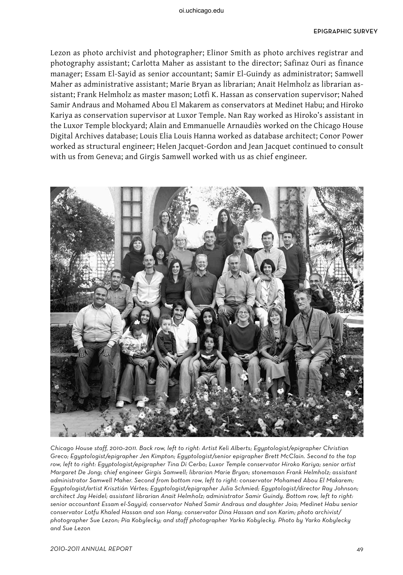Lezon as photo archivist and photographer; Elinor Smith as photo archives registrar and photography assistant; Carlotta Maher as assistant to the director; Safinaz Ouri as finance manager; Essam El-Sayid as senior accountant; Samir El-Guindy as administrator; Samwell Maher as administrative assistant; Marie Bryan as librarian; Anait Helmholz as librarian assistant; Frank Helmholz as master mason; Lotfi K. Hassan as conservation supervisor; Nahed Samir Andraus and Mohamed Abou El Makarem as conservators at Medinet Habu; and Hiroko Kariya as conservation supervisor at Luxor Temple. Nan Ray worked as Hiroko's assistant in the Luxor Temple blockyard; Alain and Emmanuelle Arnaudiès worked on the Chicago House Digital Archives database; Louis Elia Louis Hanna worked as database architect; Conor Power worked as structural engineer; Helen Jacquet-Gordon and Jean Jacquet continued to consult with us from Geneva; and Girgis Samwell worked with us as chief engineer.



Chicago House staff, 2010–2011. Back row, left to right: Artist Keli Alberts; Egyptologist/epigrapher Christian Greco; Egyptologist/epigrapher Jen Kimpton; Egyptologist/senior epigrapher Brett McClain. Second to the top row, left to right: Egyptologist/epigrapher Tina Di Cerbo; Luxor Temple conservator Hiroko Kariya; senior artist Margaret De Jong; chief engineer Girgis Samwell; librarian Marie Bryan; stonemason Frank Helmholz; assistant administrator Samwell Maher. Second from bottom row, left to right: conservator Mohamed Abou El Makarem; Egyptologist/artist Krisztián Vértes; Egyptologist/epigrapher Julia Schmied; Egyptologist/director Ray Johnson; architect Jay Heidel; assistant librarian Anait Helmholz; administrator Samir Guindy. Bottom row, left to right: senior accountant Essam el-Sayyid; conservator Nahed Samir Andraus and daughter Joia; Medinet Habu senior conservator Lotfu Khaled Hassan and son Hany; conservator Dina Hassan and son Karim; photo archivist/ photographer Sue Lezon; Pia Kobylecky; and staff photographer Yarko Kobylecky. Photo by Yarko Kobylecky and Sue Lezon